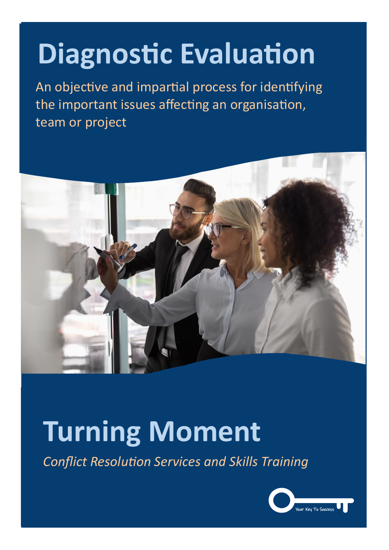## **Diagnostic Evaluation**

An objective and impartial process for identifying the important issues affecting an organisation, team or project



## **Turning Moment**

*Conflict Resolution Services and Skills Training*